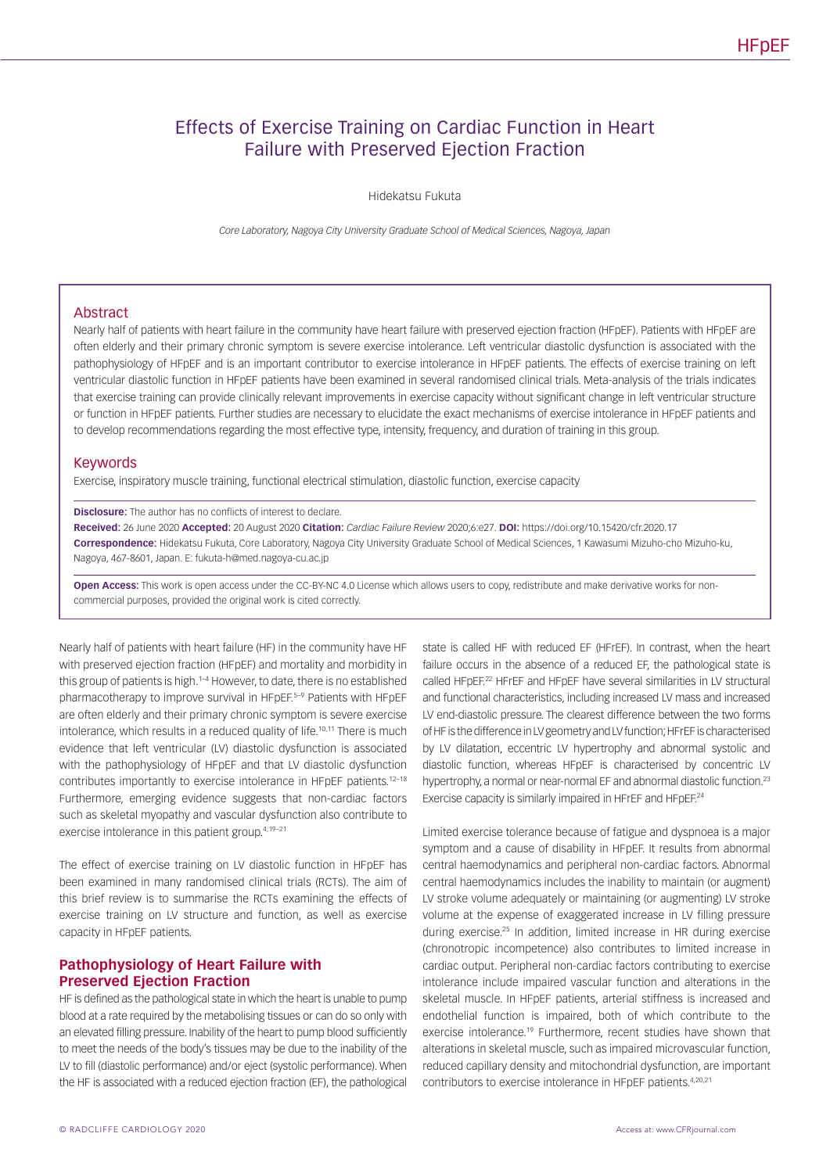# Effects of Exercise Training on Cardiac Function in Heart Failure with Preserved Ejection Fraction

Hidekatsu Fukuta

*Core Laboratory, Nagoya City University Graduate School of Medical Sciences, Nagoya, Japan*

### Abstract

Nearly half of patients with heart failure in the community have heart failure with preserved ejection fraction (HFpEF). Patients with HFpEF are often elderly and their primary chronic symptom is severe exercise intolerance. Left ventricular diastolic dysfunction is associated with the pathophysiology of HFpEF and is an important contributor to exercise intolerance in HFpEF patients. The effects of exercise training on left ventricular diastolic function in HFpEF patients have been examined in several randomised clinical trials. Meta-analysis of the trials indicates that exercise training can provide clinically relevant improvements in exercise capacity without significant change in left ventricular structure or function in HFpEF patients. Further studies are necessary to elucidate the exact mechanisms of exercise intolerance in HFpEF patients and to develop recommendations regarding the most effective type, intensity, frequency, and duration of training in this group.

#### Keywords

Exercise, inspiratory muscle training, functional electrical stimulation, diastolic function, exercise capacity

#### **Disclosure:** The author has no conflicts of interest to declare.

**Received:** 26 June 2020 **Accepted:** 20 August 2020 **Citation:** *Cardiac Failure Review* 2020;6:e27. **DOI:** https://doi.org/10.15420/cfr.2020.17 **Correspondence:** Hidekatsu Fukuta, Core Laboratory, Nagoya City University Graduate School of Medical Sciences, 1 Kawasumi Mizuho-cho Mizuho-ku, Nagoya, 467-8601, Japan. E: [fukuta-h@med.nagoya-cu.ac.jp](mailto:fukuta-h@med.nagoya-cu.ac.jp)

**Open Access:** This work is open access under the [CC-BY-NC 4.0 License](https://creativecommons.org/licenses/by-nc/4.0/legalcode) which allows users to copy, redistribute and make derivative works for noncommercial purposes, provided the original work is cited correctly.

Nearly half of patients with heart failure (HF) in the community have HF with preserved ejection fraction (HFpEF) and mortality and morbidity in this group of patients is high  $1-4$  However, to date, there is no established pharmacotherapy to improve survival in HFpEF.5-9 Patients with HFpEF are often elderly and their primary chronic symptom is severe exercise intolerance, which results in a reduced quality of life.<sup>10,11</sup> There is much evidence that left ventricular (LV) diastolic dysfunction is associated with the pathophysiology of HFpEF and that LV diastolic dysfunction contributes importantly to exercise intolerance in HFpEF patients.<sup>12-18</sup> Furthermore, emerging evidence suggests that non-cardiac factors such as skeletal myopathy and vascular dysfunction also contribute to exercise intolerance in this patient group.4,19–21

The effect of exercise training on LV diastolic function in HFpEF has been examined in many randomised clinical trials (RCTs). The aim of this brief review is to summarise the RCTs examining the effects of exercise training on LV structure and function, as well as exercise capacity in HFpEF patients.

# **Pathophysiology of Heart Failure with Preserved Ejection Fraction**

HF is defined as the pathological state in which the heart is unable to pump blood at a rate required by the metabolising tissues or can do so only with an elevated filling pressure. Inability of the heart to pump blood sufficiently to meet the needs of the body's tissues may be due to the inability of the LV to fill (diastolic performance) and/or eject (systolic performance). When the HF is associated with a reduced ejection fraction (EF), the pathological

state is called HF with reduced EF (HFrEF). In contrast, when the heart failure occurs in the absence of a reduced EF, the pathological state is called HFpFF<sup>22</sup> HFrFF and HFpFF have several similarities in LV structural and functional characteristics, including increased LV mass and increased LV end-diastolic pressure. The clearest difference between the two forms of HF is the difference in LV geometry and LV function; HFrEF is characterised by LV dilatation, eccentric LV hypertrophy and abnormal systolic and diastolic function, whereas HFpEF is characterised by concentric LV hypertrophy, a normal or near-normal EF and abnormal diastolic function.<sup>23</sup> Exercise capacity is similarly impaired in HFrEF and HFpEF.<sup>24</sup>

Limited exercise tolerance because of fatigue and dyspnoea is a major symptom and a cause of disability in HFpEF. It results from abnormal central haemodynamics and peripheral non-cardiac factors. Abnormal central haemodynamics includes the inability to maintain (or augment) LV stroke volume adequately or maintaining (or augmenting) LV stroke volume at the expense of exaggerated increase in LV filling pressure during exercise.25 In addition, limited increase in HR during exercise (chronotropic incompetence) also contributes to limited increase in cardiac output. Peripheral non-cardiac factors contributing to exercise intolerance include impaired vascular function and alterations in the skeletal muscle. In HFpEF patients, arterial stiffness is increased and endothelial function is impaired, both of which contribute to the exercise intolerance.<sup>19</sup> Furthermore, recent studies have shown that alterations in skeletal muscle, such as impaired microvascular function, reduced capillary density and mitochondrial dysfunction, are important contributors to exercise intolerance in HFpEF patients.4,20,21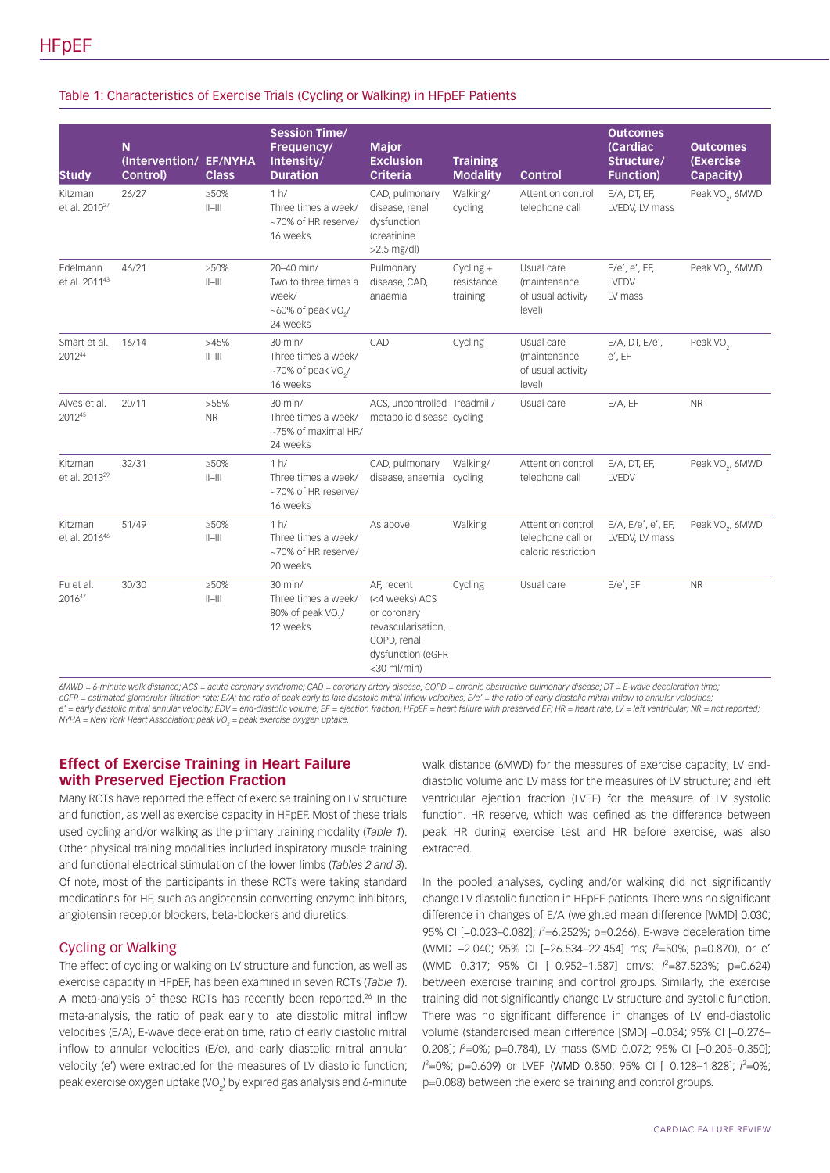### Table 1: Characteristics of Exercise Trials (Cycling or Walking) in HFpEF Patients

| <b>Study</b>                          | N.<br>(Intervention/ EF/NYHA<br>Control) | <b>Class</b>            | <b>Session Time/</b><br>Frequency/<br>Intensity/<br><b>Duration</b>                              | <b>Major</b><br><b>Exclusion</b><br><b>Criteria</b>                                                                        | <b>Training</b><br><b>Modality</b>    | <b>Control</b>                                                | <b>Outcomes</b><br>(Cardiac<br>Structure/<br><b>Function</b> ) | <b>Outcomes</b><br><b>(Exercise)</b><br>Capacity) |
|---------------------------------------|------------------------------------------|-------------------------|--------------------------------------------------------------------------------------------------|----------------------------------------------------------------------------------------------------------------------------|---------------------------------------|---------------------------------------------------------------|----------------------------------------------------------------|---------------------------------------------------|
| Kitzman<br>et al. 2010 <sup>27</sup>  | 26/27                                    | $\geq 50\%$<br>$  -   $ | 1 h/<br>Three times a week/<br>~70% of HR reserve/<br>16 weeks                                   | CAD, pulmonary<br>disease, renal<br>dysfunction<br>(creatinine<br>$>2.5$ mg/dl)                                            | Walking/<br>cycling                   | Attention control<br>telephone call                           | E/A, DT, EF,<br>LVEDV, LV mass                                 | Peak VO <sub>2</sub> , 6MWD                       |
| Edelmann<br>et al. 2011 <sup>43</sup> | 46/21                                    | $\geq 50\%$<br>$  -   $ | 20-40 min/<br>Two to three times a<br>week/<br>$~100\%$ of peak VO <sub>2</sub> /<br>24 weeks    | Pulmonary<br>disease, CAD,<br>anaemia                                                                                      | $Cycling +$<br>resistance<br>training | Usual care<br>(maintenance)<br>of usual activity<br>level)    | E/e', e', EF<br>LVEDV<br>LV mass                               | Peak VO <sub>2</sub> , 6MWD                       |
| Smart et al.<br>201244                | 16/14                                    | >45%<br>$  -   $        | $30$ min/<br>Three times a week/<br>$~1$ -70% of peak VO <sub><math>2</math></sub> /<br>16 weeks | CAD                                                                                                                        | Cycling                               | Usual care<br>(maintenance)<br>of usual activity<br>level)    | E/A, DT, E/e',<br>$e'$ , EF                                    | Peak VO <sub>2</sub>                              |
| Alves et al.<br>201245                | 20/11                                    | $>55\%$<br><b>NR</b>    | 30 min/<br>Three times a week/<br>~75% of maximal HR/<br>24 weeks                                | ACS, uncontrolled Treadmill/<br>metabolic disease cycling                                                                  |                                       | Usual care                                                    | E/A, EF                                                        | <b>NR</b>                                         |
| Kitzman<br>et al. 2013 <sup>29</sup>  | 32/31                                    | $\geq 50\%$<br>$  -   $ | 1 h/<br>Three times a week/<br>~70% of HR reserve/<br>16 weeks                                   | CAD, pulmonary<br>disease, anaemia                                                                                         | Walking/<br>cycling                   | Attention control<br>telephone call                           | E/A, DT, EF,<br>LVEDV                                          | Peak VO <sub>2</sub> , 6MWD                       |
| Kitzman<br>et al. 201646              | 51/49                                    | $\geq 50\%$<br>$  -   $ | 1 h/<br>Three times a week/<br>~70% of HR reserve/<br>20 weeks                                   | As above                                                                                                                   | Walking                               | Attention control<br>telephone call or<br>caloric restriction | E/A, E/e', e', EF,<br>LVEDV, LV mass                           | Peak VO <sub>2</sub> , 6MWD                       |
| Fu et al.<br>201647                   | 30/30                                    | $\geq 50\%$<br>$  -   $ | $30$ min/<br>Three times a week/<br>80% of peak VO <sub>2</sub> /<br>12 weeks                    | AF, recent<br>(<4 weeks) ACS<br>or coronary<br>revascularisation,<br>COPD, renal<br>dysfunction (eGFR<br>$<$ 30 ml/min $)$ | Cycling                               | Usual care                                                    | $E/e'$ , EF                                                    | <b>NR</b>                                         |

*6MWD = 6-minute walk distance; ACS = acute coronary syndrome; CAD = coronary artery disease; COPD = chronic obstructive pulmonary disease; DT = E-wave deceleration time;*  eGFR = estimated glomerular filtration rate; E/A; the ratio of peak early to late diastolic mitral inflow velocities; E/e' = the ratio of early diastolic mitral inflow to annular velocities; *e' = early diastolic mitral annular velocity; EDV = end-diastolic volume; EF = ejection fraction; HFpEF = heart failure with preserved EF; HR = heart rate; LV = left ventricular; NR = not reported; NYHA = New York Heart Association; peak VO2 = peak exercise oxygen uptake.*

# **Effect of Exercise Training in Heart Failure with Preserved Ejection Fraction**

Many RCTs have reported the effect of exercise training on LV structure and function, as well as exercise capacity in HFpEF. Most of these trials used cycling and/or walking as the primary training modality (*Table 1*). Other physical training modalities included inspiratory muscle training and functional electrical stimulation of the lower limbs (*Tables 2 and 3*). Of note, most of the participants in these RCTs were taking standard medications for HF, such as angiotensin converting enzyme inhibitors, angiotensin receptor blockers, beta-blockers and diuretics.

# Cycling or Walking

The effect of cycling or walking on LV structure and function, as well as exercise capacity in HFpEF, has been examined in seven RCTs (*Table 1*). A meta-analysis of these RCTs has recently been reported.<sup>26</sup> In the meta-analysis, the ratio of peak early to late diastolic mitral inflow velocities (E/A), E-wave deceleration time, ratio of early diastolic mitral inflow to annular velocities (E/e), and early diastolic mitral annular velocity (e') were extracted for the measures of LV diastolic function; peak exercise oxygen uptake (VO $_{_2}$ ) by expired gas analysis and 6-minute

walk distance (6MWD) for the measures of exercise capacity; LV enddiastolic volume and LV mass for the measures of LV structure; and left ventricular ejection fraction (LVEF) for the measure of LV systolic function. HR reserve, which was defined as the difference between peak HR during exercise test and HR before exercise, was also extracted.

In the pooled analyses, cycling and/or walking did not significantly change LV diastolic function in HFpEF patients. There was no significant difference in changes of E/A (weighted mean difference [WMD] 0.030; 95% CI [-0.023-0.082];  $l^2$ =6.252%; p=0.266), E-wave deceleration time (WMD -2.040; 95% CI [-26.534-22.454] ms;  $l^2$ =50%; p=0.870), or e' (WMD 0.317; 95% CI [−0.952–1.587] cm/s; *I* 2 =87.523%; p=0.624) between exercise training and control groups. Similarly, the exercise training did not significantly change LV structure and systolic function. There was no significant difference in changes of LV end-diastolic volume (standardised mean difference [SMD] −0.034; 95% CI [−0.276– 0.208];  $\ell$ =0%; p=0.784), LV mass (SMD 0.072; 95% CI [-0.205-0.350]; *I*<sup>2</sup>=0%; p=0.609) or LVEF (WMD 0.850; 95% CI [−0.128−1.828]; *I*<sup>2</sup>=0%; p=0.088) between the exercise training and control groups.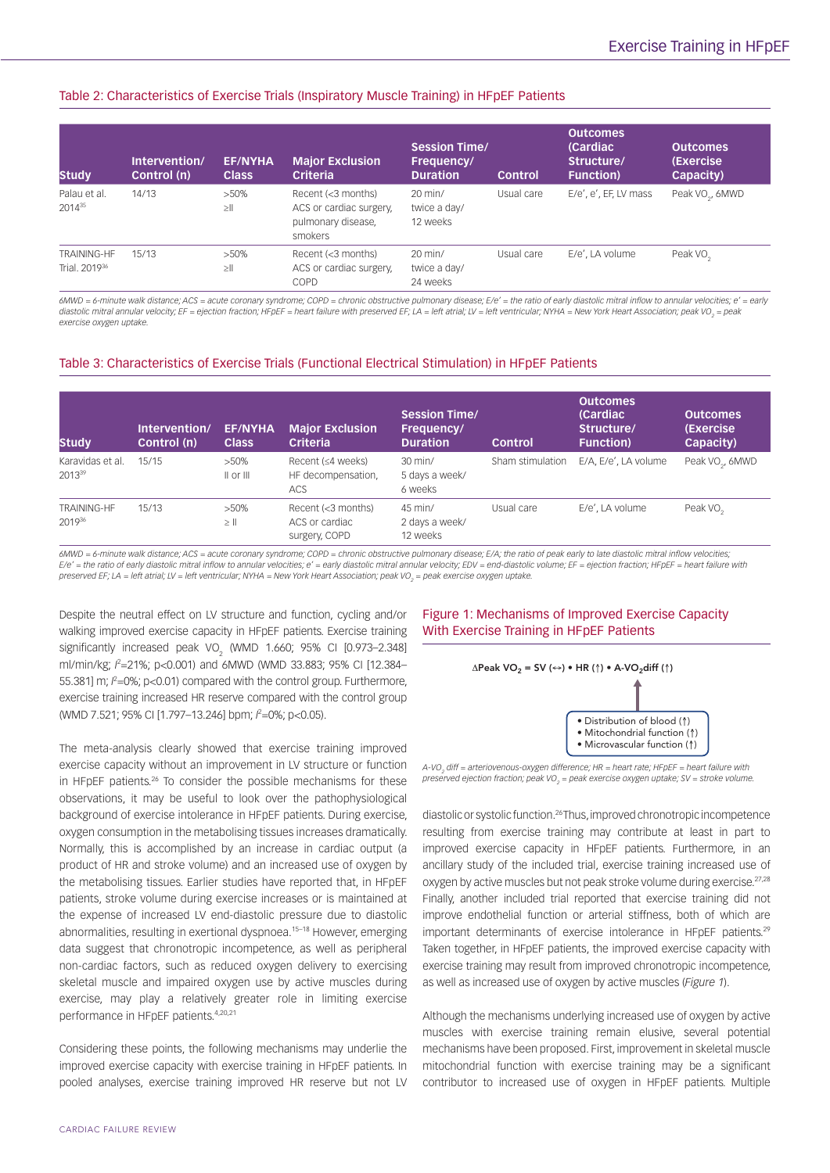# Table 2: Characteristics of Exercise Trials (Inspiratory Muscle Training) in HFpEF Patients

| <b>Study</b>                                    | Intervention/<br>Control (n) | <b>EF/NYHA</b><br><b>Class</b> | <b>Major Exclusion</b><br><b>Criteria</b>                                      | <b>Session Time/</b><br>Frequency/<br><b>Duration</b> | <b>Control</b> | <b>Outcomes</b><br>(Cardiac)<br>Structure/<br><b>Function</b> ) | <b>Outcomes</b><br>(Exercise)<br>Capacity) |
|-------------------------------------------------|------------------------------|--------------------------------|--------------------------------------------------------------------------------|-------------------------------------------------------|----------------|-----------------------------------------------------------------|--------------------------------------------|
| Palau et al.<br>$2014^{35}$                     | 14/13                        | $>50\%$<br>$\geq$              | Recent (<3 months)<br>ACS or cardiac surgery,<br>pulmonary disease,<br>smokers | $20$ min/<br>twice a day/<br>12 weeks                 | Usual care     | E/e', e', EF, LV mass                                           | Peak VO <sub>2</sub> , 6MWD                |
| <b>TRAINING-HF</b><br>Trial, 2019 <sup>36</sup> | 15/13                        | $>50\%$<br>$\geq$              | Recent (<3 months)<br>ACS or cardiac surgery,<br>COPD                          | $20$ min/<br>twice a day/<br>24 weeks                 | Usual care     | E/e', LA volume                                                 | Peak VO <sub>2</sub>                       |

*6MWD = 6-minute walk distance; ACS = acute coronary syndrome; COPD = chronic obstructive pulmonary disease; E/e' = the ratio of early diastolic mitral inflow to annular velocities; e' = early*  diastolic mitral annular velocity; EF = ejection fraction; HFpEF = heart failure with preserved EF; LA = left atrial; LV = left ventricular; NYHA = New York Heart Association; peak VO<sub>2</sub> = peak *exercise oxygen uptake.*

# Table 3: Characteristics of Exercise Trials (Functional Electrical Stimulation) in HFpEF Patients

| <b>Study</b>                           | Intervention/<br>Control (n) | <b>EF/NYHA</b><br><b>Class</b> | <b>Major Exclusion</b><br><b>Criteria</b>             | <b>Session Time/</b><br>Frequency/<br><b>Duration</b> | <b>Control</b>   | <b>Outcomes</b><br>(Cardiac)<br>Structure/<br><b>Function</b> ) | <b>Outcomes</b><br>(Exercise<br>Capacity) |
|----------------------------------------|------------------------------|--------------------------------|-------------------------------------------------------|-------------------------------------------------------|------------------|-----------------------------------------------------------------|-------------------------------------------|
| Karavidas et al.<br>2013 <sup>39</sup> | 15/15                        | $>50\%$<br>$  $ or $   $       | Recent (≤4 weeks)<br>HF decompensation,<br><b>ACS</b> | $30$ min/<br>5 days a week/<br>6 weeks                | Sham stimulation | E/A, E/e', LA volume                                            | Peak VO <sub>2</sub> , 6MWD               |
| TRAINING-HF<br>201936                  | 15/13                        | $>50\%$<br>$\geq$              | Recent (<3 months)<br>ACS or cardiac<br>surgery, COPD | 45 min/<br>2 days a week/<br>12 weeks                 | Usual care       | E/e', LA volume                                                 | Peak VO <sub>2</sub>                      |

*6MWD = 6-minute walk distance; ACS = acute coronary syndrome; COPD = chronic obstructive pulmonary disease; E/A; the ratio of peak early to late diastolic mitral inflow velocities; E/e' = the ratio of early diastolic mitral inflow to annular velocities; e' = early diastolic mitral annular velocity; EDV = end-diastolic volume; EF = ejection fraction; HFpEF = heart failure with*  preserved EF; LA = left atrial; LV = left ventricular; NYHA = New York Heart Association; peak VO<sub>2</sub> = peak exercise oxygen uptake.

Despite the neutral effect on LV structure and function, cycling and/or walking improved exercise capacity in HFpEF patients. Exercise training significantly increased peak VO<sub>2</sub> (WMD 1.660; 95% CI [0.973–2.348] ml/min/kg;  $l^2$ =21%; p<0.001) and 6MWD (WMD 33.883; 95% CI [12.384-55.381] m;  $l^2$ =0%; p<0.01) compared with the control group. Furthermore, exercise training increased HR reserve compared with the control group (WMD 7.521; 95% CI [1.797–13.246] bpm; *I*<sup>2</sup> =0%; p<0.05).

The meta-analysis clearly showed that exercise training improved exercise capacity without an improvement in LV structure or function in HFpEF patients.<sup>26</sup> To consider the possible mechanisms for these observations, it may be useful to look over the pathophysiological background of exercise intolerance in HFpEF patients. During exercise, oxygen consumption in the metabolising tissues increases dramatically. Normally, this is accomplished by an increase in cardiac output (a product of HR and stroke volume) and an increased use of oxygen by the metabolising tissues. Earlier studies have reported that, in HFpEF patients, stroke volume during exercise increases or is maintained at the expense of increased LV end-diastolic pressure due to diastolic abnormalities, resulting in exertional dyspnoea.15–18 However, emerging data suggest that chronotropic incompetence, as well as peripheral non-cardiac factors, such as reduced oxygen delivery to exercising skeletal muscle and impaired oxygen use by active muscles during exercise, may play a relatively greater role in limiting exercise performance in HFpEF patients.4,20,21

Considering these points, the following mechanisms may underlie the improved exercise capacity with exercise training in HFpEF patients. In pooled analyses, exercise training improved HR reserve but not LV

# Figure 1: Mechanisms of Improved Exercise Capacity With Exercise Training in HFpEF Patients



*A-VO2 diff = arteriovenous-oxygen difference; HR = heart rate; HFpEF = heart failure with preserved ejection fraction; peak VO2 = peak exercise oxygen uptake; SV = stroke volume.*

diastolic or systolic function.26 Thus, improved chronotropic incompetence resulting from exercise training may contribute at least in part to improved exercise capacity in HFpEF patients. Furthermore, in an ancillary study of the included trial, exercise training increased use of oxygen by active muscles but not peak stroke volume during exercise.<sup>27,28</sup> Finally, another included trial reported that exercise training did not improve endothelial function or arterial stiffness, both of which are important determinants of exercise intolerance in HFpEF patients.<sup>29</sup> Taken together, in HFpEF patients, the improved exercise capacity with exercise training may result from improved chronotropic incompetence, as well as increased use of oxygen by active muscles (*Figure 1*).

Although the mechanisms underlying increased use of oxygen by active muscles with exercise training remain elusive, several potential mechanisms have been proposed. First, improvement in skeletal muscle mitochondrial function with exercise training may be a significant contributor to increased use of oxygen in HFpEF patients. Multiple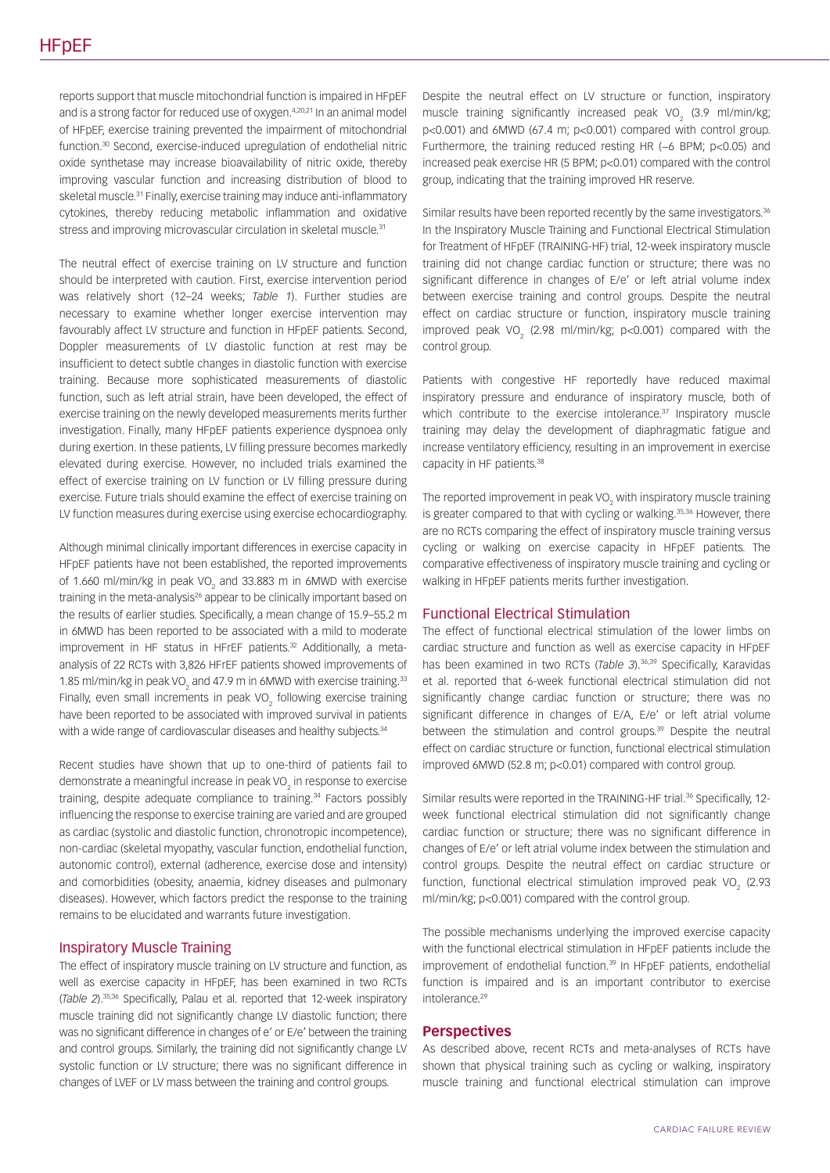reports support that muscle mitochondrial function is impaired in HFpEF and is a strong factor for reduced use of oxygen.<sup>4,20,21</sup> In an animal model of HFpEF, exercise training prevented the impairment of mitochondrial function.30 Second, exercise-induced upregulation of endothelial nitric oxide synthetase may increase bioavailability of nitric oxide, thereby improving vascular function and increasing distribution of blood to skeletal muscle.<sup>31</sup> Finally, exercise training may induce anti-inflammatory cytokines, thereby reducing metabolic inflammation and oxidative stress and improving microvascular circulation in skeletal muscle.<sup>31</sup>

The neutral effect of exercise training on LV structure and function should be interpreted with caution. First, exercise intervention period was relatively short (12–24 weeks; *Table 1*). Further studies are necessary to examine whether longer exercise intervention may favourably affect LV structure and function in HFpEF patients. Second, Doppler measurements of LV diastolic function at rest may be insufficient to detect subtle changes in diastolic function with exercise training. Because more sophisticated measurements of diastolic function, such as left atrial strain, have been developed, the effect of exercise training on the newly developed measurements merits further investigation. Finally, many HFpEF patients experience dyspnoea only during exertion. In these patients, LV filling pressure becomes markedly elevated during exercise. However, no included trials examined the effect of exercise training on LV function or LV filling pressure during exercise. Future trials should examine the effect of exercise training on LV function measures during exercise using exercise echocardiography.

Although minimal clinically important differences in exercise capacity in HFpEF patients have not been established, the reported improvements of 1.660 ml/min/kg in peak VO<sub>2</sub> and 33.883 m in 6MWD with exercise training in the meta-analysis<sup>26</sup> appear to be clinically important based on the results of earlier studies. Specifically, a mean change of 15.9–55.2 m in 6MWD has been reported to be associated with a mild to moderate improvement in HF status in HFrEF patients.<sup>32</sup> Additionally, a metaanalysis of 22 RCTs with 3,826 HFrEF patients showed improvements of 1.85 ml/min/kg in peak VO<sub>2</sub> and 47.9 m in 6MWD with exercise training.<sup>33</sup> Finally, even small increments in peak VO<sub>2</sub> following exercise training have been reported to be associated with improved survival in patients with a wide range of cardiovascular diseases and healthy subjects.<sup>34</sup>

Recent studies have shown that up to one-third of patients fail to demonstrate a meaningful increase in peak VO $_{\textrm{\tiny{2}}}$  in response to exercise training, despite adequate compliance to training.<sup>34</sup> Factors possibly influencing the response to exercise training are varied and are grouped as cardiac (systolic and diastolic function, chronotropic incompetence), non-cardiac (skeletal myopathy, vascular function, endothelial function, autonomic control), external (adherence, exercise dose and intensity) and comorbidities (obesity, anaemia, kidney diseases and pulmonary diseases). However, which factors predict the response to the training remains to be elucidated and warrants future investigation.

# Inspiratory Muscle Training

The effect of inspiratory muscle training on LV structure and function, as well as exercise capacity in HFpEF, has been examined in two RCTs (*Table 2*).35,36 Specifically, Palau et al. reported that 12-week inspiratory muscle training did not significantly change LV diastolic function; there was no significant difference in changes of e' or E/e' between the training and control groups. Similarly, the training did not significantly change LV systolic function or LV structure; there was no significant difference in changes of LVEF or LV mass between the training and control groups.

Despite the neutral effect on LV structure or function, inspiratory muscle training significantly increased peak VO<sub>2</sub> (3.9 ml/min/kg; p<0.001) and 6MWD (67.4 m; p<0.001) compared with control group. Furthermore, the training reduced resting HR (−6 BPM; p<0.05) and increased peak exercise HR (5 BPM; p<0.01) compared with the control group, indicating that the training improved HR reserve.

Similar results have been reported recently by the same investigators.<sup>36</sup> In the Inspiratory Muscle Training and Functional Electrical Stimulation for Treatment of HFpEF (TRAINING-HF) trial, 12-week inspiratory muscle training did not change cardiac function or structure; there was no significant difference in changes of E/e' or left atrial volume index between exercise training and control groups. Despite the neutral effect on cardiac structure or function, inspiratory muscle training improved peak VO<sub>2</sub> (2.98 ml/min/kg; p<0.001) compared with the control group.

Patients with congestive HF reportedly have reduced maximal inspiratory pressure and endurance of inspiratory muscle, both of which contribute to the exercise intolerance.<sup>37</sup> Inspiratory muscle training may delay the development of diaphragmatic fatigue and increase ventilatory efficiency, resulting in an improvement in exercise capacity in HF patients.<sup>38</sup>

The reported improvement in peak VO<sub>2</sub> with inspiratory muscle training is greater compared to that with cycling or walking.<sup>35,36</sup> However, there are no RCTs comparing the effect of inspiratory muscle training versus cycling or walking on exercise capacity in HFpEF patients. The comparative effectiveness of inspiratory muscle training and cycling or walking in HFpEF patients merits further investigation.

#### Functional Electrical Stimulation

The effect of functional electrical stimulation of the lower limbs on cardiac structure and function as well as exercise capacity in HFpEF has been examined in two RCTs (*Table 3*).<sup>36,39</sup> Specifically, Karavidas et al. reported that 6-week functional electrical stimulation did not significantly change cardiac function or structure; there was no significant difference in changes of E/A, E/e' or left atrial volume between the stimulation and control groups.<sup>39</sup> Despite the neutral effect on cardiac structure or function, functional electrical stimulation improved 6MWD (52.8 m; p<0.01) compared with control group.

Similar results were reported in the TRAINING-HF trial.<sup>36</sup> Specifically, 12week functional electrical stimulation did not significantly change cardiac function or structure; there was no significant difference in changes of E/e' or left atrial volume index between the stimulation and control groups. Despite the neutral effect on cardiac structure or function, functional electrical stimulation improved peak VO<sub>2</sub> (2.93) ml/min/kg; p<0.001) compared with the control group.

The possible mechanisms underlying the improved exercise capacity with the functional electrical stimulation in HFpEF patients include the improvement of endothelial function.<sup>39</sup> In HFpEF patients, endothelial function is impaired and is an important contributor to exercise intolerance<sup>29</sup>

#### **Perspectives**

As described above, recent RCTs and meta-analyses of RCTs have shown that physical training such as cycling or walking, inspiratory muscle training and functional electrical stimulation can improve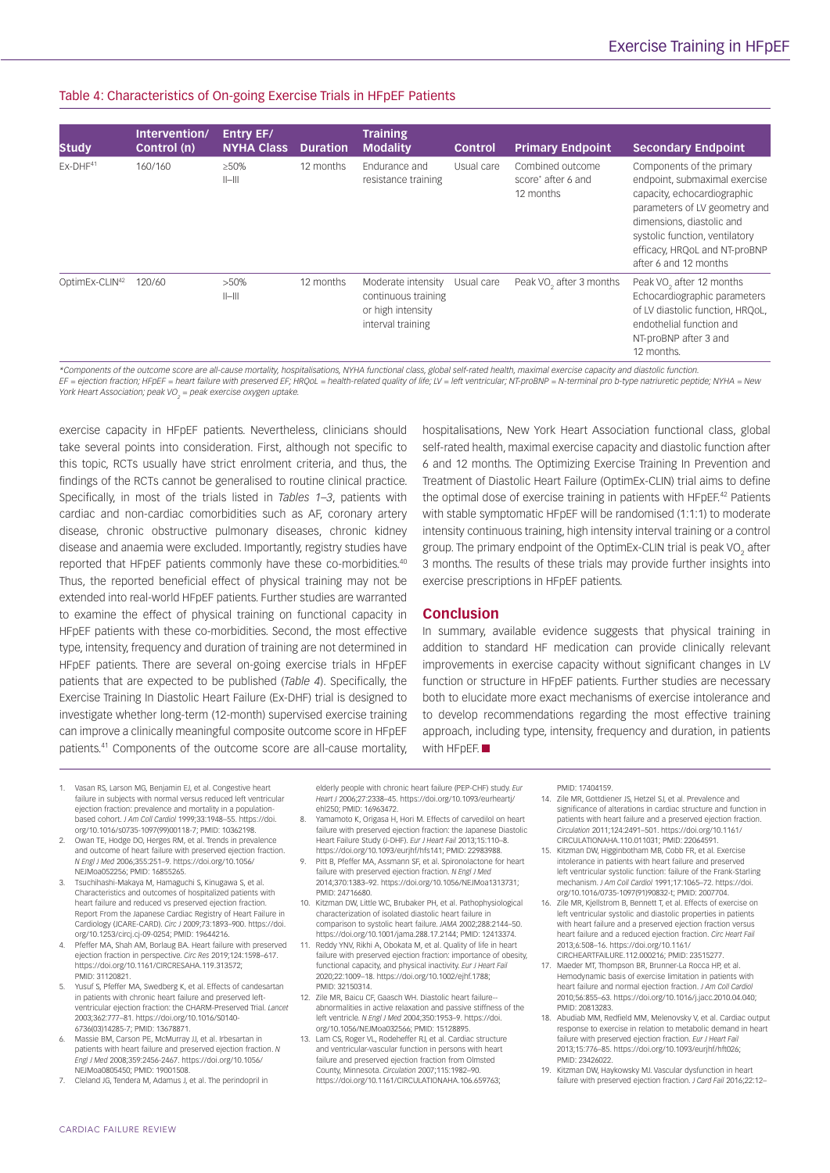### Table 4: Characteristics of On-going Exercise Trials in HFpEF Patients

| <b>Study</b>               | Intervention/<br>Control (n) | <b>Entry EF/</b><br><b>NYHA Class</b> | <b>Duration</b> | <b>Training</b><br><b>Modality</b>                                                  | <b>Control</b> | <b>Primary Endpoint</b>                             | <b>Secondary Endpoint</b>                                                                                                                                                                                                                           |
|----------------------------|------------------------------|---------------------------------------|-----------------|-------------------------------------------------------------------------------------|----------------|-----------------------------------------------------|-----------------------------------------------------------------------------------------------------------------------------------------------------------------------------------------------------------------------------------------------------|
| $EX-DHF41$                 | 160/160                      | $>50\%$<br>$  -   $                   | 12 months       | Fndurance and<br>resistance training                                                | Usual care     | Combined outcome<br>score* after 6 and<br>12 months | Components of the primary<br>endpoint, submaximal exercise<br>capacity, echocardiographic<br>parameters of LV geometry and<br>dimensions, diastolic and<br>systolic function, ventilatory<br>efficacy, HRQoL and NT-proBNP<br>after 6 and 12 months |
| OptimEx-CLIN <sup>42</sup> | 120/60                       | $>50\%$<br>$  -   $                   | 12 months       | Moderate intensity<br>continuous training<br>or high intensity<br>interval training | Usual care     | Peak VO <sub>2</sub> after 3 months                 | Peak VO <sub>2</sub> after 12 months<br>Echocardiographic parameters<br>of LV diastolic function, HRQoL,<br>endothelial function and<br>NT-proBNP after 3 and<br>12 months.                                                                         |

*\*Components of the outcome score are all-cause mortality, hospitalisations, NYHA functional class, global self-rated health, maximal exercise capacity and diastolic function. EF = ejection fraction; HFpEF = heart failure with preserved EF; HRQoL = health-related quality of life; LV = left ventricular; NT-proBNP = N-terminal pro b-type natriuretic peptide; NYHA = New York Heart Association; peak VO2 = peak exercise oxygen uptake.*

exercise capacity in HFpEF patients. Nevertheless, clinicians should take several points into consideration. First, although not specific to this topic, RCTs usually have strict enrolment criteria, and thus, the findings of the RCTs cannot be generalised to routine clinical practice. Specifically, in most of the trials listed in *Tables 1–3*, patients with cardiac and non-cardiac comorbidities such as AF, coronary artery disease, chronic obstructive pulmonary diseases, chronic kidney disease and anaemia were excluded. Importantly, registry studies have reported that HFpEF patients commonly have these co-morbidities.40 Thus, the reported beneficial effect of physical training may not be extended into real-world HFpEF patients. Further studies are warranted to examine the effect of physical training on functional capacity in HFpEF patients with these co-morbidities. Second, the most effective type, intensity, frequency and duration of training are not determined in HFpEF patients. There are several on-going exercise trials in HFpEF patients that are expected to be published (*Table 4*). Specifically, the Exercise Training In Diastolic Heart Failure (Ex-DHF) trial is designed to investigate whether long-term (12-month) supervised exercise training can improve a clinically meaningful composite outcome score in HFpEF patients.41 Components of the outcome score are all-cause mortality,

hospitalisations, New York Heart Association functional class, global self-rated health, maximal exercise capacity and diastolic function after 6 and 12 months. The Optimizing Exercise Training In Prevention and Treatment of Diastolic Heart Failure (OptimEx-CLIN) trial aims to define the optimal dose of exercise training in patients with HFpEF.<sup>42</sup> Patients with stable symptomatic HFpEF will be randomised (1:1:1) to moderate intensity continuous training, high intensity interval training or a control group. The primary endpoint of the OptimEx-CLIN trial is peak VO<sub>2</sub> after 3 months. The results of these trials may provide further insights into exercise prescriptions in HFpEF patients.

#### **Conclusion**

In summary, available evidence suggests that physical training in addition to standard HF medication can provide clinically relevant improvements in exercise capacity without significant changes in LV function or structure in HFpFF patients. Further studies are necessary both to elucidate more exact mechanisms of exercise intolerance and to develop recommendations regarding the most effective training approach, including type, intensity, frequency and duration, in patients with HFpEF.

- 1. Vasan RS, Larson MG, Benjamin EJ, et al. Congestive heart failure in subjects with normal versus reduced left ventricular ejection fraction: prevalence and mortality in a populationbased cohort. *J Am Coll Cardiol* 1999;33:1948–55. [https://doi.](https://doi.org/10.1016/s0735-1097(99)00118-7) [org/10.1016/s0735-1097\(99\)00118-7;](https://doi.org/10.1016/s0735-1097(99)00118-7) PMID: 10362198.
- 2. Owan TE, Hodge DO, Herges RM, et al. Trends in prevalence and outcome of heart failure with preserved ejection fraction. *N Engl J Med* 2006;355:251–9. [https://doi.org/10.1056/](https://doi.org/10.1056/NEJMoa052256) [NEJMoa052256;](https://doi.org/10.1056/NEJMoa052256) PMID: 16855265.
- Tsuchihashi-Makaya M, Hamaguchi S, Kinugawa S, et al. Characteristics and outcomes of hospitalized patients with heart failure and reduced vs preserved ejection fraction. Report From the Japanese Cardiac Registry of Heart Failure in Cardiology (JCARE-CARD). *Circ J* 2009;73:1893–900. [https://doi.](https://doi.org/10.1253/circj.cj-09-0254) [org/10.1253/circj.cj-09-0254;](https://doi.org/10.1253/circj.cj-09-0254) PMID: 19644216.
- Pfeffer MA, Shah AM, Borlaug BA. Heart failure with preserved ejection fraction in perspective. *Circ Res* 2019;124:1598–617. [https://doi.org/10.1161/CIRCRESAHA.119.313572;](https://doi.org/10.1161/CIRCRESAHA.119.313572) PMID: 31120821.
- 5. Yusuf S, Pfeffer MA, Swedberg K, et al. Effects of candesartan in patients with chronic heart failure and preserved leftventricular ejection fraction: the CHARM-Preserved Trial. *Lancet* 2003;362:777–81. [https://doi.org/10.1016/S0140-](https://doi.org/10.1016/S0140-6736(03)14285-7) [6736\(03\)14285-7;](https://doi.org/10.1016/S0140-6736(03)14285-7) PMID: 13678871.
- 6. Massie BM, Carson PE, McMurray JJ, et al. Irbesartan in patients with heart failure and preserved ejection fraction. *N Engl J Med* 2008;359:2456-2467. [https://doi.org/10.1056/](https://doi.org/10.1056/NEJMoa0805450) [NEJMoa0805450](https://doi.org/10.1056/NEJMoa0805450); PMID: 19001508.
- 7. Cleland JG, Tendera M, Adamus J, et al. The perindopril in

elderly people with chronic heart failure (PEP-CHF) study. *Eur Heart J* 2006;27:2338–45. [https://doi.org/10.1093/eurheartj/](https://doi.org/10.1093/eurheartj/ehl250) [ehl250;](https://doi.org/10.1093/eurheartj/ehl250) PMID: 16963472.

- 8. Yamamoto K, Origasa H, Hori M. Effects of carvedilol on heart failure with preserved ejection fraction: the Japanese Diastolic Heart Failure Study (J-DHF). *Eur J Heart Fail* 2013;15:110–8. <https://doi.org/10.1093/eurjhf/hfs141>; PMID: 22983988.
- 9. Pitt B, Pfeffer MA, Assmann SF, et al. Spironolactone for heart failure with preserved ejection fraction. *N Engl J Med* 2014;370:1383–92.<https://doi.org/10.1056/NEJMoa1313731>; PMID: 24716680.
- 10. Kitzman DW, Little WC, Brubaker PH, et al. Pathophysiological characterization of isolated diastolic heart failure i comparison to systolic heart failure. *JAMA* 2002;288:2144–50. <https://doi.org/10.1001/jama.288.17.2144>; PMID: 12413374.
- Reddy YNV, Rikhi A, Obokata M, et al. Quality of life in heart failure with preserved ejection fraction: importance of obesity, functional capacity, and physical inactivity. *Eur J Heart Fail* 2020;22:1009–18.<https://doi.org/10.1002/ejhf.1788>; PMID: 32150314.
- 12. Zile MR, Baicu CF, Gaasch WH. Diastolic heart failure- abnormalities in active relaxation and passive stiffness of the left ventricle. *N Engl J Med* 2004;350:1953–9. [https://doi.](https://doi.org/10.1056/NEJMoa032566) [org/10.1056/NEJMoa032566;](https://doi.org/10.1056/NEJMoa032566) PMID: 15128895.
- 13. Lam CS, Roger VL, Rodeheffer RJ, et al. Cardiac structure and ventricular-vascular function in persons with heart failure and preserved ejection fraction from Olmsted County, Minnesota. *Circulation* 2007;115:1982–90. [https://doi.org/10.1161/CIRCULATIONAHA.106.659763;](https://doi.org/10.1161/CIRCULATIONAHA.106.659763)

PMID: 17404159.

- 14. Zile MR, Gottdiener JS, Hetzel SJ, et al. Prevalence and significance of alterations in cardiac structure and function in patients with heart failure and a preserved ejection fraction. *Circulation* 2011;124:2491–501. [https://doi.org/10.1161/](https://doi.org/10.1161/CIRCULATIONAHA.110.011031) [CIRCULATIONAHA.110.011031;](https://doi.org/10.1161/CIRCULATIONAHA.110.011031) PMID: 22064591.
- 15. Kitzman DW, Higginbotham MB, Cobb FR, et al. Exercise intolerance in patients with heart failure and preserved left ventricular systolic function: failure of the Frank-Starling mechanism. *J Am Coll Cardiol* 1991;17:1065–72. [https://doi.](https://doi.org/10.1016/0735-1097(91)90832-t) [org/10.1016/0735-1097\(91\)90832-t](https://doi.org/10.1016/0735-1097(91)90832-t); PMID: 2007704.
- 16. Zile MR, Kjellstrom B, Bennett T, et al. Effects of exercise on left ventricular systolic and diastolic properties in patients with heart failure and a preserved ejection fraction versus heart failure and a reduced ejection fraction. *Circ Heart Fail* 2013;6:508–16. [https://doi.org/10.1161/](https://doi.org/10.1161/CIRCHEARTFAILURE.112.000216)
- [CIRCHEARTFAILURE.112.000216](https://doi.org/10.1161/CIRCHEARTFAILURE.112.000216); PMID: 23515277. 17. Maeder MT, Thompson BR, Brunner-La Rocca HP, et al. Hemodynamic basis of exercise limitation in patients with heart failure and normal ejection fraction. *J Am Coll Cardiol* 2010;56:855–63. [https://doi.org/10.1016/j.jacc.2010.04.040;](https://doi.org/10.1016/j.jacc.2010.04.040) PMID: 20813283.
- 18. Abudiab MM, Redfield MM, Melenovsky V, et al. Cardiac output response to exercise in relation to metabolic demand in heart failure with preserved ejection fraction. *Eur J Heart Fail* 2013;15:776–85.<https://doi.org/10.1093/eurjhf/hft026>; PMID: 23426022.
- 19. Kitzman DW, Haykowsky MJ. Vascular dysfunction in heart failure with preserved ejection fraction. *J Card Fail* 2016;22:12–